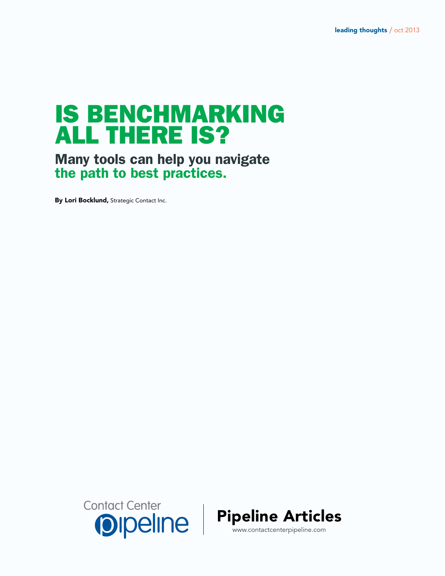# IS BENCHMARKING ALL THERE IS?

Many tools can help you navigate the path to best practices.

By Lori Bocklund, Strategic Contact Inc.





www.contactcenterpipeline.com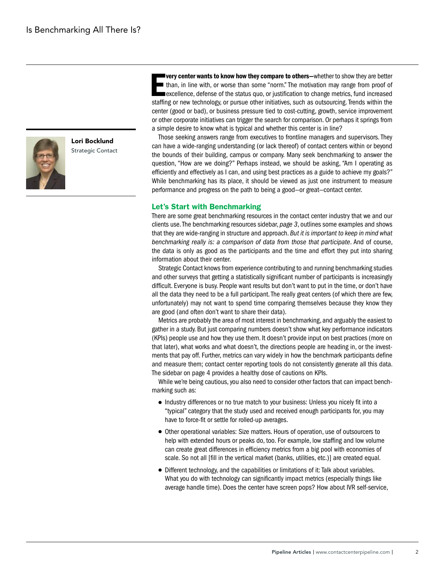

Lori Bocklund Strategic Contact **Example 19 Yerry center wants to know how they compare to others**—whether to show they are better than, in line with, or worse than some "norm." The motivation may range from proof of excellence, defense of the status quo very center wants to know how they compare to others—whether to show they are better than, in line with, or worse than some "norm." The motivation may range from proof of excellence, defense of the status quo, or justification to change metrics, fund increased center (good or bad), or business pressure tied to cost-cutting, growth, service improvement or other corporate initiatives can trigger the search for comparison. Or perhaps it springs from a simple desire to know what is typical and whether this center is in line?

Those seeking answers range from executives to frontline managers and supervisors. They can have a wide-ranging understanding (or lack thereof) of contact centers within or beyond the bounds of their building, campus or company. Many seek benchmarking to answer the question, "How are we doing?" Perhaps instead, we should be asking, "Am I operating as efficiently and effectively as I can, and using best practices as a guide to achieve my goals?" While benchmarking has its place, it should be viewed as just one instrument to measure performance and progress on the path to being a good—or great—contact center.

### Let's Start with Benchmarking

There are some great benchmarking resources in the contact center industry that we and our clients use. The benchmarking resources sidebar, *page 3*, outlines some examples and shows that they are wide-ranging in structure and approach. *But it is important to keep in mind what benchmarking really is: a comparison of data from those that participate*. And of course, the data is only as good as the participants and the time and effort they put into sharing information about their center.

Strategic Contact knows from experience contributing to and running benchmarking studies and other surveys that getting a statistically significant number of participants is increasingly difficult. Everyone is busy. People want results but don't want to put in the time, or don't have all the data they need to be a full participant. The really great centers (of which there are few, unfortunately) may not want to spend time comparing themselves because they know they are good (and often don't want to share their data).

Metrics are probably the area of most interest in benchmarking, and arguably the easiest to gather in a study. But just comparing numbers doesn't show what key performance indicators (KPIs) people use and how they use them. It doesn't provide input on best practices (more on that later), what works and what doesn't, the directions people are heading in, or the investments that pay off. Further, metrics can vary widely in how the benchmark participants define and measure them; contact center reporting tools do not consistently generate all this data. The sidebar on page 4 provides a healthy dose of cautions on KPIs.

While we're being cautious, you also need to consider other factors that can impact benchmarking such as:

- Industry differences or no true match to your business: Unless you nicely fit into a "typical" category that the study used and received enough participants for, you may have to force-fit or settle for rolled-up averages.
- Other operational variables: Size matters. Hours of operation, use of outsourcers to help with extended hours or peaks do, too. For example, low staffing and low volume can create great differences in efficiency metrics from a big pool with economies of scale. So not all [fill in the vertical market (banks, utilities, etc.)] are created equal.
- Different technology, and the capabilities or limitations of it: Talk about variables. What you do with technology can significantly impact metrics (especially things like average handle time). Does the center have screen pops? How about IVR self-service,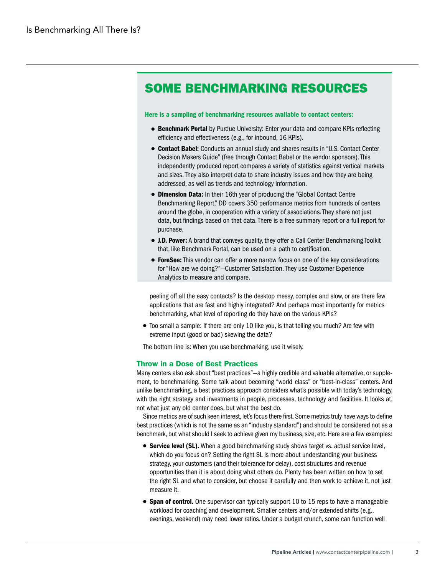# SOME BENCHMARKING RESOURCES

#### Here is a sampling of benchmarking resources available to contact centers:

- **Benchmark Portal** by Purdue University: Enter your data and compare KPIs reflecting efficiency and effectiveness (e.g., for inbound, 16 KPIs).
- Contact Babel: Conducts an annual study and shares results in "U.S. Contact Center Decision Makers Guide" (free through Contact Babel or the vendor sponsors). This independently produced report compares a variety of statistics against vertical markets and sizes. They also interpret data to share industry issues and how they are being addressed, as well as trends and technology information.
- Dimension Data: In their 16th year of producing the "Global Contact Centre Benchmarking Report," DD covers 350 performance metrics from hundreds of centers around the globe, in cooperation with a variety of associations. They share not just data, but findings based on that data. There is a free summary report or a full report for purchase.
- **. J.D. Power:** A brand that conveys quality, they offer a Call Center Benchmarking Toolkit that, like Benchmark Portal, can be used on a path to certification.
- **ForeSee:** This vendor can offer a more narrow focus on one of the key considerations for "How are we doing?"—Customer Satisfaction. They use Customer Experience Analytics to measure and compare.

peeling off all the easy contacts? Is the desktop messy, complex and slow, or are there few applications that are fast and highly integrated? And perhaps most importantly for metrics benchmarking, what level of reporting do they have on the various KPIs?

● Too small a sample: If there are only 10 like you, is that telling you much? Are few with extreme input (good or bad) skewing the data?

The bottom line is: When you use benchmarking, use it wisely.

# Throw in a Dose of Best Practices

Many centers also ask about "best practices"—a highly credible and valuable alternative, or supplement, to benchmarking. Some talk about becoming "world class" or "best-in-class" centers. And unlike benchmarking, a best practices approach considers what's possible with today's technology, with the right strategy and investments in people, processes, technology and facilities. It looks at, not what just any old center does, but what the best do.

Since metrics are of such keen interest, let's focus there first. Some metrics truly have ways to define best practices (which is not the same as an "industry standard") and should be considered not as a benchmark, but what should I seek to achieve given my business, size, etc. Here are a few examples:

- **Service level (SL).** When a good benchmarking study shows target vs. actual service level, which do you focus on? Setting the right SL is more about understanding your business strategy, your customers (and their tolerance for delay), cost structures and revenue opportunities than it is about doing what others do. Plenty has been written on how to set the right SL and what to consider, but choose it carefully and then work to achieve it, not just measure it.
- Span of control. One supervisor can typically support 10 to 15 reps to have a manageable workload for coaching and development. Smaller centers and/or extended shifts (e.g., evenings, weekend) may need lower ratios. Under a budget crunch, some can function well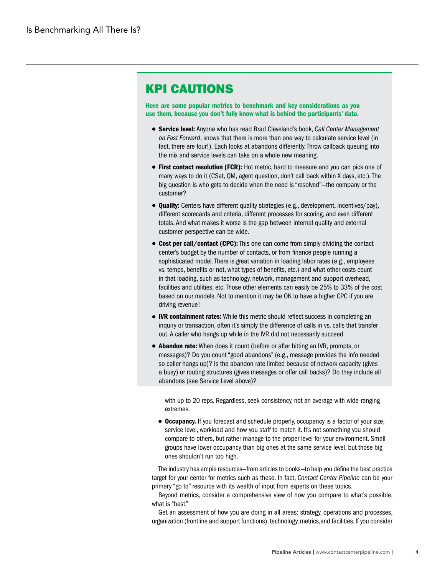# KPI CAUTIONS

Here are some popular metrics to benchmark and key considerations as you use them, because you don't fully know what is behind the participants' data.

- Service level: Anyone who has read Brad Cleveland's book, *Call Center Management on Fast Forward*, knows that there is more than one way to calculate service level (in fact, there are four!). Each looks at abandons differently. Throw callback queuing into the mix and service levels can take on a whole new meaning.
- First contact resolution (FCR): Hot metric, hard to measure and you can pick one of many ways to do it (CSat, QM, agent question, don't call back within X days, etc.). The big question is who gets to decide when the need is "resolved"—the company or the customer?
- **Quality:** Centers have different quality strategies (e.g., development, incentives/pay), different scorecards and criteria, different processes for scoring, and even different totals. And what makes it worse is the gap between internal quality and external customer perspective can be wide.
- Cost per call/contact (CPC): This one can come from simply dividing the contact center's budget by the number of contacts, or from finance people running a sophisticated model. There is great variation in loading labor rates (e.g., employees vs. temps, benefits or not, what types of benefits, etc.) and what other costs count in that loading, such as technology, network, management and support overhead, facilities and utilities, etc. Those other elements can easily be 25% to 33% of the cost based on our models. Not to mention it may be OK to have a higher CPC if you are driving revenue!
- IVR containment rates: While this metric should reflect success in completing an inquiry or transaction, often it's simply the difference of calls in vs. calls that transfer out. A caller who hangs up while in the IVR did not necessarily succeed.
- Abandon rate: When does it count (before or after hitting an IVR, prompts, or messages)? Do you count "good abandons" (e.g., message provides the info needed so caller hangs up)? Is the abandon rate limited because of network capacity (gives a busy) or routing structures (gives messages or offer call backs)? Do they include all abandons (see Service Level above)?

with up to 20 reps. Regardless, seek consistency, not an average with wide-ranging extremes.

● **Occupancy.** If you forecast and schedule properly, occupancy is a factor of your size, service level, workload and how you staff to match it. It's not something you should compare to others, but rather manage to the proper level for your environment. Small groups have lower occupancy than big ones at the same service level, but those big ones shouldn't run too high.

The industry has ample resources—from articles to books—to help you define the best practice target for your center for metrics such as these. In fact, *Contact Center Pipeline* can be your primary "go to" resource with its wealth of input from experts on these topics.

Beyond metrics, consider a comprehensive view of how you compare to what's possible, what is "best."

Get an assessment of how you are doing in all areas: strategy, operations and processes, organization (frontline and support functions), technology, metrics,and facilities. If you consider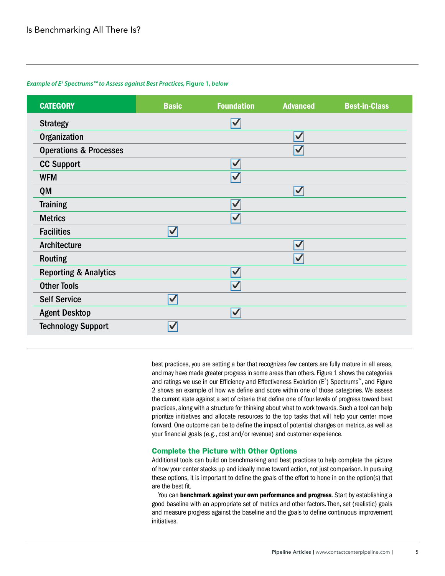# *Example of E3 Spectrums™ to Assess against Best Practices,* **Figure 1,** *below*

| <b>CATEGORY</b>                   | <b>Basic</b>            | <b>Foundation</b>        | <b>Advanced</b>         | <b>Best-in-Class</b> |
|-----------------------------------|-------------------------|--------------------------|-------------------------|----------------------|
| <b>Strategy</b>                   |                         | $\blacktriangledown$     |                         |                      |
| Organization                      |                         |                          | $\overline{\mathsf{v}}$ |                      |
| <b>Operations &amp; Processes</b> |                         |                          | $\overline{\mathsf{v}}$ |                      |
| <b>CC Support</b>                 |                         | $\overline{\mathcal{V}}$ |                         |                      |
| <b>WFM</b>                        |                         | $\overline{\mathsf{v}}$  |                         |                      |
| QM                                |                         |                          | $\overline{\mathsf{v}}$ |                      |
| <b>Training</b>                   |                         | $\checkmark$             |                         |                      |
| <b>Metrics</b>                    |                         | $\blacktriangledown$     |                         |                      |
| <b>Facilities</b>                 | $\overline{\mathbf{v}}$ |                          |                         |                      |
| Architecture                      |                         |                          | $\blacktriangledown$    |                      |
| <b>Routing</b>                    |                         |                          | $\blacktriangledown$    |                      |
| <b>Reporting &amp; Analytics</b>  |                         | $\blacktriangledown$     |                         |                      |
| <b>Other Tools</b>                |                         | $\blacktriangledown$     |                         |                      |
| <b>Self Service</b>               | $\blacktriangledown$    |                          |                         |                      |
| <b>Agent Desktop</b>              |                         | $\overline{\mathcal{V}}$ |                         |                      |
| <b>Technology Support</b>         | $\blacktriangledown$    |                          |                         |                      |

best practices, you are setting a bar that recognizes few centers are fully mature in all areas, and may have made greater progress in some areas than others. Figure 1 shows the categories and ratings we use in our Efficiency and Effectiveness Evolution  $(E^3)$  Spectrums<sup>™</sup>, and Figure 2 shows an example of how we define and score within one of those categories. We assess the current state against a set of criteria that define one of four levels of progress toward best practices, along with a structure for thinking about what to work towards. Such a tool can help prioritize initiatives and allocate resources to the top tasks that will help your center move forward. One outcome can be to define the impact of potential changes on metrics, as well as your financial goals (e.g., cost and/or revenue) and customer experience.

# Complete the Picture with Other Options

Additional tools can build on benchmarking and best practices to help complete the picture of how your center stacks up and ideally move toward action, not just comparison. In pursuing these options, it is important to define the goals of the effort to hone in on the option(s) that are the best fit.

You can benchmark against your own performance and progress. Start by establishing a good baseline with an appropriate set of metrics and other factors. Then, set (realistic) goals and measure progress against the baseline and the goals to define continuous improvement initiatives.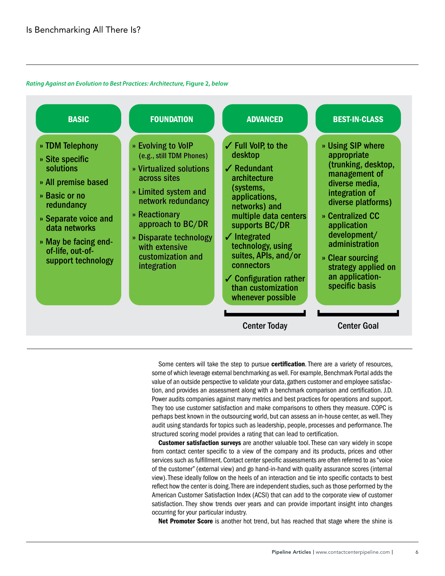#### *Rating Against an Evolution to Best Practices: Architecture,* **Figure 2,** *below*



Some centers will take the step to pursue certification. There are a variety of resources, some of which leverage external benchmarking as well. For example, Benchmark Portal adds the value of an outside perspective to validate your data, gathers customer and employee satisfaction, and provides an assessment along with a benchmark comparison and certification. J.D. Power audits companies against many metrics and best practices for operations and support. They too use customer satisfaction and make comparisons to others they measure. COPC is perhaps best known in the outsourcing world, but can assess an in-house center, as well. They audit using standards for topics such as leadership, people, processes and performance. The structured scoring model provides a rating that can lead to certification.

Customer satisfaction surveys are another valuable tool. These can vary widely in scope from contact center specific to a view of the company and its products, prices and other services such as fulfillment. Contact center specific assessments are often referred to as "voice of the customer" (external view) and go hand-in-hand with quality assurance scores (internal view). These ideally follow on the heels of an interaction and tie into specific contacts to best reflect how the center is doing. There are independent studies, such as those performed by the American Customer Satisfaction Index (ACSI) that can add to the corporate view of customer satisfaction. They show trends over years and can provide important insight into changes occurring for your particular industry.

Net Promoter Score is another hot trend, but has reached that stage where the shine is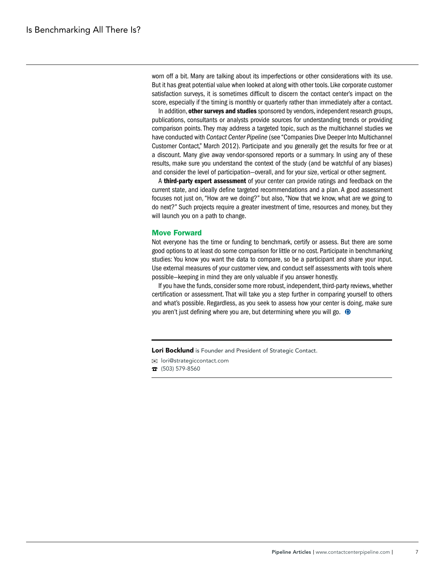worn off a bit. Many are talking about its imperfections or other considerations with its use. But it has great potential value when looked at along with other tools. Like corporate customer satisfaction surveys, it is sometimes difficult to discern the contact center's impact on the score, especially if the timing is monthly or quarterly rather than immediately after a contact.

In addition, other surveys and studies sponsored by vendors, independent research groups, publications, consultants or analysts provide sources for understanding trends or providing comparison points. They may address a targeted topic, such as the multichannel studies we have conducted with *Contact Center Pipeline* (see "Companies Dive Deeper Into Multichannel Customer Contact," March 2012). Participate and you generally get the results for free or at a discount. Many give away vendor-sponsored reports or a summary. In using any of these results, make sure you understand the context of the study (and be watchful of any biases) and consider the level of participation—overall, and for your size, vertical or other segment.

A third-party expert assessment of your center can provide ratings and feedback on the current state, and ideally define targeted recommendations and a plan. A good assessment focuses not just on, "How are we doing?" but also, "Now that we know, what are we going to do next?" Such projects require a greater investment of time, resources and money, but they will launch you on a path to change.

#### Move Forward

Not everyone has the time or funding to benchmark, certify or assess. But there are some good options to at least do some comparison for little or no cost. Participate in benchmarking studies: You know you want the data to compare, so be a participant and share your input. Use external measures of your customer view, and conduct self assessments with tools where possible—keeping in mind they are only valuable if you answer honestly.

If you have the funds, consider some more robust, independent, third-party reviews, whether certification or assessment. That will take you a step further in comparing yourself to others and what's possible. Regardless, as you seek to assess how your center is doing, make sure you aren't just defining where you are, but determining where you will go.  $\odot$ 

Lori Bocklund is Founder and President of Strategic Contact.

lori@strategiccontact.com

 $\sqrt{2}$  (503) 579-8560